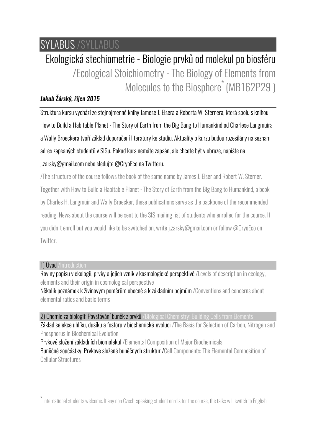## SYLABUS /SYLLABUS

# Ekologická stechiometrie - Biologie prvků od molekul po biosféru /Ecological Stoichiometry - The Biology of Elements from Molecules to the Biosphere<sup>\*</sup> (MB162P29)

### *Jakub Žárský, říjen 2015*

Struktura kursu vychází ze stejnojmenné knihy Jamese J. Elsera a Roberta W. Sternera, která spolu s knihou How to Build a Habitable Planet - The Story of Earth from the Big Bang to Humankind od Charlese Langmuira a Wally Broeckera tvoří základ doporučení literatury ke studiu. Aktuality o kurzu budou rozesílány na seznam adres zapsaných studentů v SISu. Pokud kurs nemáte zapsán, ale chcete být v obraze, napište na j.zarsky@gmail.com nebo sledujte @CryoEco na Twitteru.

/The structure of the course follows the book of the same name by James J. Elser and Robert W. Sterner. Together with How to Build a Habitable Planet - The Story of Earth from the Big Bang to Humankind, a book by Charles H. Langmuir and Wally Broecker, these publications serve as the backbone of the recommended reading. News about the course will be sent to the SIS mailing list of students who enrolled for the course. If you didn't enroll but you would like to be switched on, write j.zarsky@gmail.com or follow @CryoEco on Twitter.

#### 1) Úvod /Introduction

 $\overline{a}$ 

Roviny popisu v ekologii, prvky a jejich vznik v kosmologické perspektivě /Levels of description in ecology, elements and their origin in cosmological perspective

Několik poznámek k živinovým poměrům obecně a k základním pojmům /Conventions and concerns about elemental ratios and basic terms

2) Chemie za biologií: Povstávání buněk z prvků /Biological Chemistry: Building Cells from Elements Základ selekce uhlíku, dusíku a fosforu v biochemické evoluci /The Basis for Selection of Carbon, Nitrogen and Phosphorus in Biochemical Evolution

Prvkové složení základních biomolekul /Elemental Composition of Major Biochemicals Buněčné součástky: Prvkové složené buněčných struktur /Cell Components: The Elemental Composition of Cellular Structures

<sup>\*</sup> International students welcome. If any non Czech-speaking student enrols for the course, the talks will switch to English.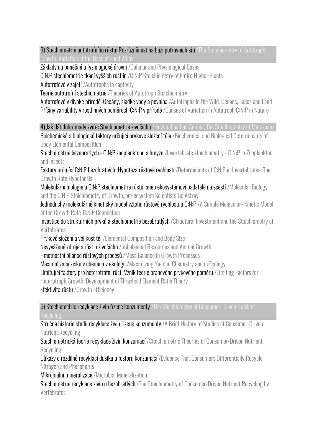3) Stechiometrie autotrofního růstu: Rozrůzněnost na bázi potravních sítí /The Stoichiometry of Autotroph Growth: Variation at the Base of Food Webs

Základy na buněčné a fyziologické úrovni /Cellular and Physiological Bases

C:N:P stechiometrie tkání vyšších rostlin /C:N:P Stoichiometry of Entire Higher Plants

Autotrofové v zajetí /Autotrophs in captivity

Teorie autotrofní stechiometrie /Theories of Autotroph Stoichiometry

Autotrofové v divoké přírodě: Oceány, sladké vody a pevnina /Autotrophs in the Wild: Oceans, Lakes and Land Příčiny variability v rostlinných poměrech C:N:P v přírodě /Causes of Variation in Autotroph C:N:P in Nature

4) Jak dát dohromady zvíře: Stechiometrie živočichů /How to build an Animal: The Stoichiometry of Metazoans

Biochemické a biologické faktory určující prvkové složení těla /Biochemical and Biological Determinants of Body Elemental Composition

Stechiometrie bezobratlých - C:N:P zooplanktonu a hmyzu /Invertebrate stoichiometry - C:N:P in Zooplankton and Insects

Faktory určující C:N:P bezobratlých: Hypotéza růstové rychlosti /Determinants of C:N:P in Invertebrates: The Growth Rate Hypothesis

Molekulární biologie a C:N:P stechiometrie růstu, aneb ekosystémoví badatelé na scestí /Molecular Biology and the C:N:P Stoichiometry of Growth, or Ecosystem Scientists Go Astray

Jednoduchý molekulárně kinetický model vztahu růstové rychlosti a C:N:P /A Simple Molecular- Kinetic Model of the Growth Rate-C:N:P Connection

Investice do strukturních prvků a stechiometrie bezobratlých /Structural Investment and the Stoichiometry of **Vertebrates** 

Prvkové složení a velikost těl /Elemental Composition and Body Size

Nevyvážené zdroje a růst u živočichů /Imbalanced Resources and Animal Growth

Hmotnostní bilance růstových procesů /Mass Balance in Growth Processes

Maximalizace zisku v chemii a v ekologii /Maximizing Yield in Chemistry and in Ecology

Limitující faktory pro heterotrofní růst: Vznik teorie prahového prvkového poměru /Limiting Factors for

Heterotroph Growth: Development of Threshold Element Ratio Theory

Efektivita růstu /Growth Efficiency

5) Stechiometrie recyklace živin řízené konzumenty /The Stoichiometry of Consumer-Driven Nutrient

Stručná historie studií recyklace živin řízené konzumenty /A Brief History of Studies of Consumer-Driven Nutrient Recycling

Stechiometrická teorie recyklace živin konzumací /Stoichiometric Theories of Consumer-Driven Nutrient Recycling

Důkazy o rozdílné recyklaci dusíku a fosforu konzumací /Evidence That Consumers Differentially Recycle Nitrogen and Phosphorus

Mikrobiální mineralizace /Microbial Mineralization

Stechiometrie recyklace živin u bezobratlých /The Stoichiometry of Consumer-Driven Nutrient Recycling by Vertebrates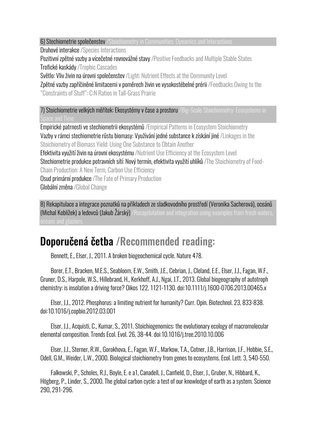6) Stechiometrie společenstev /Stoichiometry in Communities: Dynamics and Interactions

Druhové interakce /Species Interactions

Pozitivní zpětné vazby a vícečetné rovnovážné stavy /Positive Feedbacks and Multiple Stable States Trofické kaskády /Trophic Cascades

Světlo: Vliv živin na úrovni společenstev /Light: Nutrient Effects at the Community Level

Zpětné vazby zapříčiněné limitacemi v poměrech živin ve vysokostébelné prérii /Feedbacks Owing to the "Constraints of Stuff": C:N Ratios in Tall-Grass Prairie

7) Stoichiometrie velkých měřítek: Ekosystémy v čase a prostoru /Big-Scale Stoichiometry: Ecosystems in Space and Time

Empirické patrnosti ve stechiometrii ekosystémů /Empirical Patterns in Ecosystem Stoichiometry Vazby v rámci stechiometrie růstu biomasy: Využívání jedné substance k získání jiné /Linkages in the Stoichiometry of Biomass Yield: Using One Substance to Obtain Another

Efektivita využití živin na úrovni ekosystému /Nutrient Use Efficiency at the Ecosystem Level

Stechiometrie produkce potravních sítí: Nový termín, efektivita využití uhlíků /The Stoichiometry of Food-

Chain Production: A New Term, Carbon Use Efficiency

Osud primární produkce /The Fate of Primary Production

Globální změna /Global Change

8) Rekapitulace a integrace poznatků na příkladech ze sladkovodního prostředí (Veronika Sacherová), oceánů (Michal Koblížek) a ledovců (Jakub Žárský) /Recapitulation and integration using examples from fresh waters,

### Doporučená četba /Recommended reading:

Bennett, E., Elser, J., 2011. A broken biogeochemical cycle. Nature 478.

Borer, E.T., Bracken, M.E.S., Seabloom, E.W., Smith, J.E., Cebrian, J., Cleland, E.E., Elser, J.J., Fagan, W.F., Gruner, D.S., Harpole, W.S., Hillebrand, H., Kerkhoff, A.J., Ngai, J.T., 2013. Global biogeography of autotroph chemistry: is insolation a driving force? Oikos 122, 1121-1130. doi:10.1111/j.1600-0706.2013.00465.x

Elser, J.J., 2012. Phosphorus: a limiting nutrient for humanity? Curr. Opin. Biotechnol. 23, 833-838. doi:10.1016/j.copbio.2012.03.001

Elser, J.J., Acquisti, C., Kumar, S., 2011. Stoichiogenomics: the evolutionary ecology of macromolecular elemental composition. Trends Ecol. Evol. 26, 38-44. doi:10.1016/j.tree.2010.10.006

Elser, J.J., Sterner, R.W., Gorokhova, E., Fagan, W.F., Markow, T.A., Cotner, J.B., Harrison, J.F., Hobbie, S.E., Odell, G.M., Weider, L.W., 2000. Biological stoichiometry from genes to ecosystems. Ecol. Lett. 3, 540-550.

Falkowski, P., Scholes, R.J., Boyle, E. e a1, Canadell, J., Canfield, D., Elser, J., Gruber, N., Hibbard, K., Högberg, P., Linder, S., 2000. The global carbon cycle: a test of our knowledge of earth as a system. Science 290, 291-296.